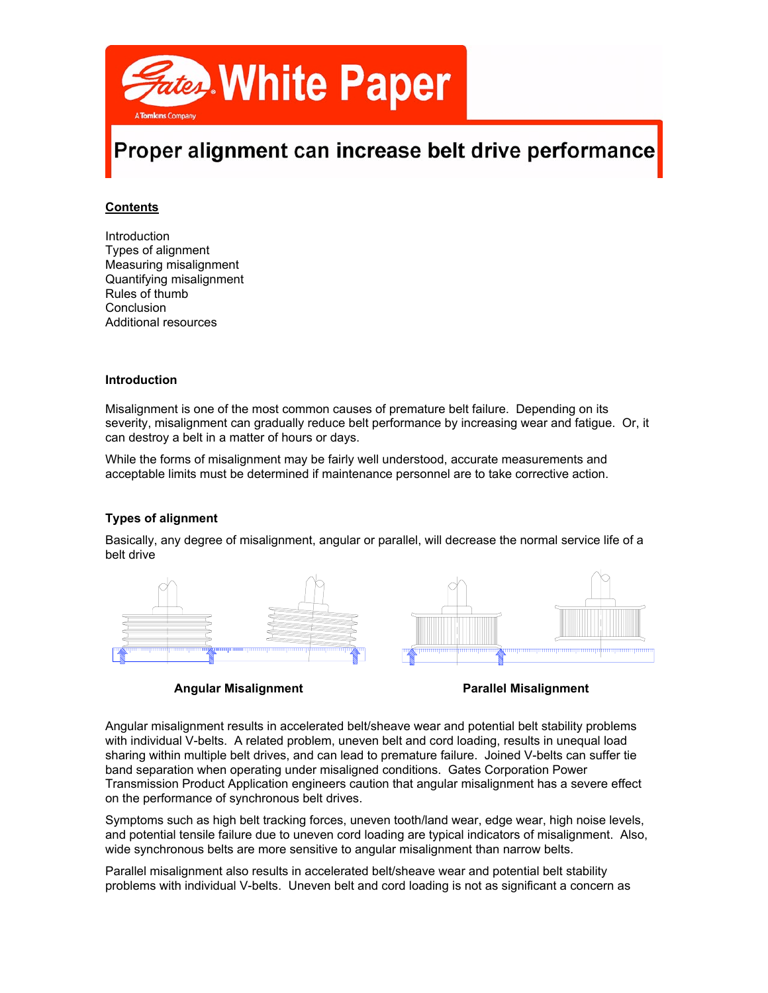

# Proper alignment can increase belt drive performance

# **Contents**

Introduction Types of alignment Measuring misalignment Quantifying misalignment Rules of thumb Conclusion Additional resources

#### **Introduction**

Misalignment is one of the most common causes of premature belt failure. Depending on its severity, misalignment can gradually reduce belt performance by increasing wear and fatigue. Or, it can destroy a belt in a matter of hours or days.

While the forms of misalignment may be fairly well understood, accurate measurements and acceptable limits must be determined if maintenance personnel are to take corrective action.

#### **Types of alignment**

Basically, any degree of misalignment, angular or parallel, will decrease the normal service life of a belt drive



**Angular Misalignment Parallel Misalignment**

Angular misalignment results in accelerated belt/sheave wear and potential belt stability problems with individual V-belts. A related problem, uneven belt and cord loading, results in unequal load sharing within multiple belt drives, and can lead to premature failure. Joined V-belts can suffer tie band separation when operating under misaligned conditions. Gates Corporation Power Transmission Product Application engineers caution that angular misalignment has a severe effect on the performance of synchronous belt drives.

Symptoms such as high belt tracking forces, uneven tooth/land wear, edge wear, high noise levels, and potential tensile failure due to uneven cord loading are typical indicators of misalignment. Also, wide synchronous belts are more sensitive to angular misalignment than narrow belts.

Parallel misalignment also results in accelerated belt/sheave wear and potential belt stability problems with individual V-belts. Uneven belt and cord loading is not as significant a concern as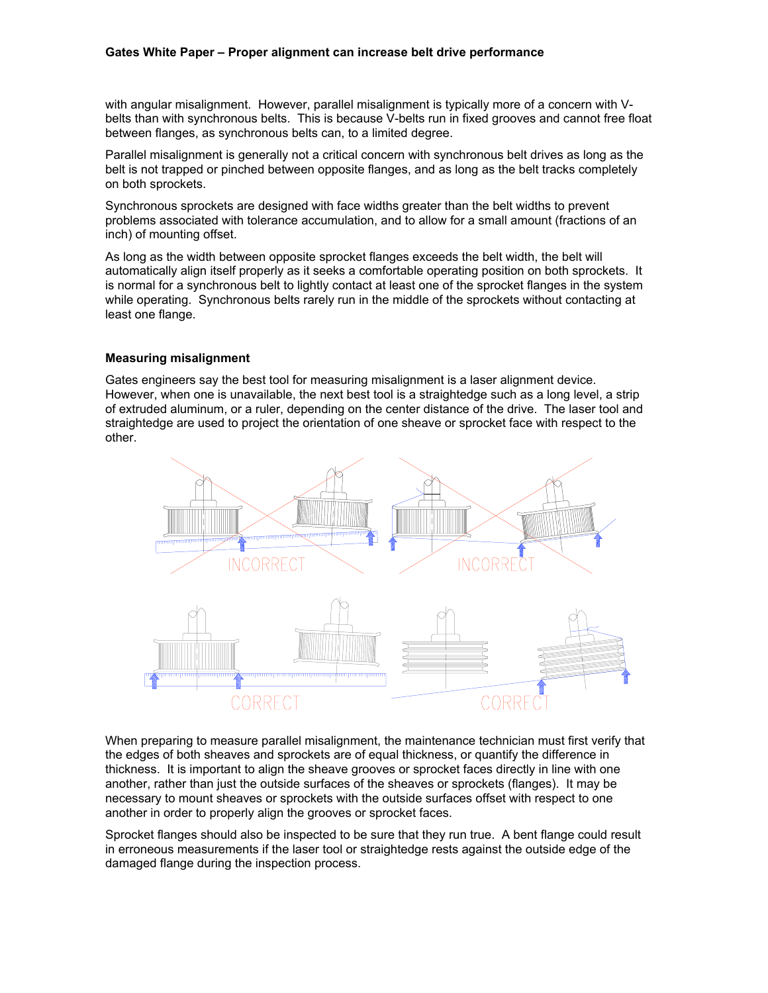#### **Gates White Paper – Proper alignment can increase belt drive performance**

with angular misalignment. However, parallel misalignment is typically more of a concern with Vbelts than with synchronous belts. This is because V-belts run in fixed grooves and cannot free float between flanges, as synchronous belts can, to a limited degree.

Parallel misalignment is generally not a critical concern with synchronous belt drives as long as the belt is not trapped or pinched between opposite flanges, and as long as the belt tracks completely on both sprockets.

Synchronous sprockets are designed with face widths greater than the belt widths to prevent problems associated with tolerance accumulation, and to allow for a small amount (fractions of an inch) of mounting offset.

As long as the width between opposite sprocket flanges exceeds the belt width, the belt will automatically align itself properly as it seeks a comfortable operating position on both sprockets. It is normal for a synchronous belt to lightly contact at least one of the sprocket flanges in the system while operating. Synchronous belts rarely run in the middle of the sprockets without contacting at least one flange.

#### **Measuring misalignment**

Gates engineers say the best tool for measuring misalignment is a laser alignment device. However, when one is unavailable, the next best tool is a straightedge such as a long level, a strip of extruded aluminum, or a ruler, depending on the center distance of the drive. The laser tool and straightedge are used to project the orientation of one sheave or sprocket face with respect to the other.



When preparing to measure parallel misalignment, the maintenance technician must first verify that the edges of both sheaves and sprockets are of equal thickness, or quantify the difference in thickness. It is important to align the sheave grooves or sprocket faces directly in line with one another, rather than just the outside surfaces of the sheaves or sprockets (flanges). It may be necessary to mount sheaves or sprockets with the outside surfaces offset with respect to one another in order to properly align the grooves or sprocket faces.

Sprocket flanges should also be inspected to be sure that they run true. A bent flange could result in erroneous measurements if the laser tool or straightedge rests against the outside edge of the damaged flange during the inspection process.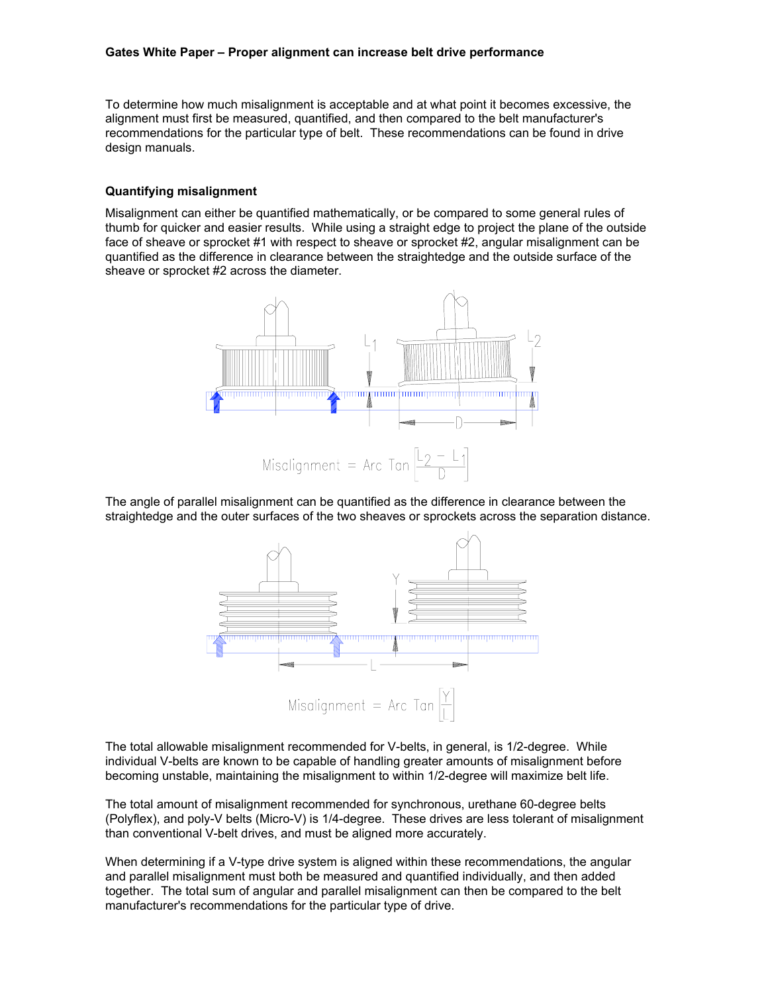To determine how much misalignment is acceptable and at what point it becomes excessive, the alignment must first be measured, quantified, and then compared to the belt manufacturer's recommendations for the particular type of belt. These recommendations can be found in drive design manuals.

#### **Quantifying misalignment**

Misalignment can either be quantified mathematically, or be compared to some general rules of thumb for quicker and easier results. While using a straight edge to project the plane of the outside face of sheave or sprocket #1 with respect to sheave or sprocket #2, angular misalignment can be quantified as the difference in clearance between the straightedge and the outside surface of the sheave or sprocket #2 across the diameter.



The angle of parallel misalignment can be quantified as the difference in clearance between the straightedge and the outer surfaces of the two sheaves or sprockets across the separation distance.



The total allowable misalignment recommended for V-belts, in general, is 1/2-degree. While individual V-belts are known to be capable of handling greater amounts of misalignment before becoming unstable, maintaining the misalignment to within 1/2-degree will maximize belt life.

The total amount of misalignment recommended for synchronous, urethane 60-degree belts (Polyflex), and poly-V belts (Micro-V) is 1/4-degree. These drives are less tolerant of misalignment than conventional V-belt drives, and must be aligned more accurately.

When determining if a V-type drive system is aligned within these recommendations, the angular and parallel misalignment must both be measured and quantified individually, and then added together. The total sum of angular and parallel misalignment can then be compared to the belt manufacturer's recommendations for the particular type of drive.